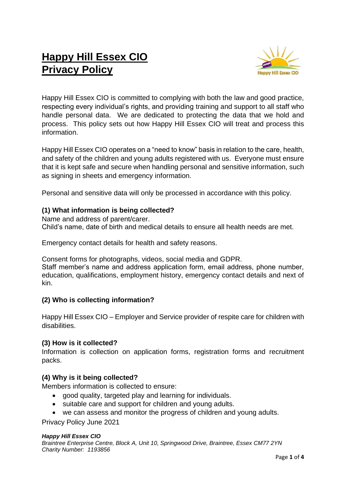# **Happy Hill Essex CIO Privacy Policy**



Happy Hill Essex CIO is committed to complying with both the law and good practice, respecting every individual's rights, and providing training and support to all staff who handle personal data. We are dedicated to protecting the data that we hold and process. This policy sets out how Happy Hill Essex CIO will treat and process this information.

Happy Hill Essex CIO operates on a "need to know" basis in relation to the care, health, and safety of the children and young adults registered with us. Everyone must ensure that it is kept safe and secure when handling personal and sensitive information, such as signing in sheets and emergency information.

Personal and sensitive data will only be processed in accordance with this policy.

# **(1) What information is being collected?**

Name and address of parent/carer.

Child's name, date of birth and medical details to ensure all health needs are met.

Emergency contact details for health and safety reasons.

Consent forms for photographs, videos, social media and GDPR. Staff member's name and address application form, email address, phone number, education, qualifications, employment history, emergency contact details and next of kin.

# **(2) Who is collecting information?**

Happy Hill Essex CIO – Employer and Service provider of respite care for children with disabilities.

## **(3) How is it collected?**

Information is collection on application forms, registration forms and recruitment packs.

## **(4) Why is it being collected?**

Members information is collected to ensure:

- good quality, targeted play and learning for individuals.
- suitable care and support for children and young adults.
- we can assess and monitor the progress of children and young adults.

Privacy Policy June 2021

#### *Happy Hill Essex CIO*

*Braintree Enterprise Centre, Block A, Unit 10, Springwood Drive, Braintree, Essex CM77 2YN Charity Number: 1193856*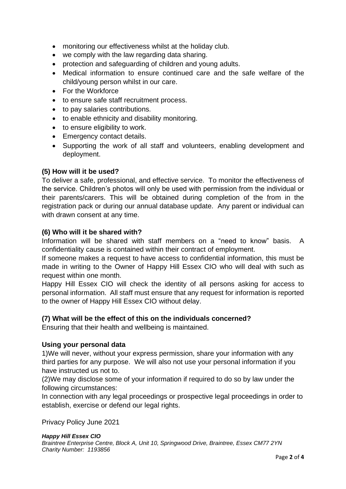- monitoring our effectiveness whilst at the holiday club.
- we comply with the law regarding data sharing.
- protection and safeguarding of children and young adults.
- Medical information to ensure continued care and the safe welfare of the child/young person whilst in our care.
- For the Workforce
- to ensure safe staff recruitment process.
- to pay salaries contributions.
- to enable ethnicity and disability monitoring.
- to ensure eligibility to work.
- Emergency contact details.
- Supporting the work of all staff and volunteers, enabling development and deployment.

## **(5) How will it be used?**

To deliver a safe, professional, and effective service. To monitor the effectiveness of the service. Children's photos will only be used with permission from the individual or their parents/carers. This will be obtained during completion of the from in the registration pack or during our annual database update. Any parent or individual can with drawn consent at any time.

#### **(6) Who will it be shared with?**

Information will be shared with staff members on a "need to know" basis. A confidentiality cause is contained within their contract of employment.

If someone makes a request to have access to confidential information, this must be made in writing to the Owner of Happy Hill Essex CIO who will deal with such as request within one month.

Happy Hill Essex CIO will check the identity of all persons asking for access to personal information. All staff must ensure that any request for information is reported to the owner of Happy Hill Essex CIO without delay.

## **(7) What will be the effect of this on the individuals concerned?**

Ensuring that their health and wellbeing is maintained.

## **Using your personal data**

1)We will never, without your express permission, share your information with any third parties for any purpose. We will also not use your personal information if you have instructed us not to.

(2)We may disclose some of your information if required to do so by law under the following circumstances:

In connection with any legal proceedings or prospective legal proceedings in order to establish, exercise or defend our legal rights.

Privacy Policy June 2021

#### *Happy Hill Essex CIO Braintree Enterprise Centre, Block A, Unit 10, Springwood Drive, Braintree, Essex CM77 2YN Charity Number: 1193856*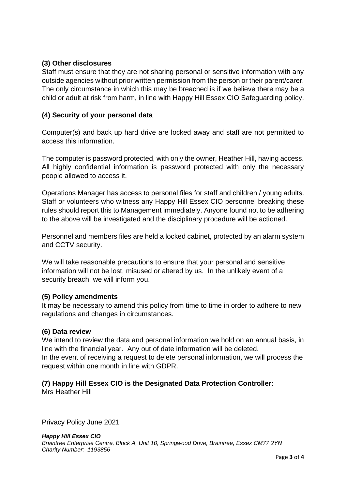# **(3) Other disclosures**

Staff must ensure that they are not sharing personal or sensitive information with any outside agencies without prior written permission from the person or their parent/carer. The only circumstance in which this may be breached is if we believe there may be a child or adult at risk from harm, in line with Happy Hill Essex CIO Safeguarding policy.

# **(4) Security of your personal data**

Computer(s) and back up hard drive are locked away and staff are not permitted to access this information.

The computer is password protected, with only the owner, Heather Hill, having access. All highly confidential information is password protected with only the necessary people allowed to access it.

Operations Manager has access to personal files for staff and children / young adults. Staff or volunteers who witness any Happy Hill Essex CIO personnel breaking these rules should report this to Management immediately. Anyone found not to be adhering to the above will be investigated and the disciplinary procedure will be actioned.

Personnel and members files are held a locked cabinet, protected by an alarm system and CCTV security.

We will take reasonable precautions to ensure that your personal and sensitive information will not be lost, misused or altered by us. In the unlikely event of a security breach, we will inform you.

# **(5) Policy amendments**

It may be necessary to amend this policy from time to time in order to adhere to new regulations and changes in circumstances.

## **(6) Data review**

We intend to review the data and personal information we hold on an annual basis, in line with the financial year. Any out of date information will be deleted. In the event of receiving a request to delete personal information, we will process the request within one month in line with GDPR.

# **(7) Happy Hill Essex CIO is the Designated Data Protection Controller:**

Mrs Heather Hill

Privacy Policy June 2021